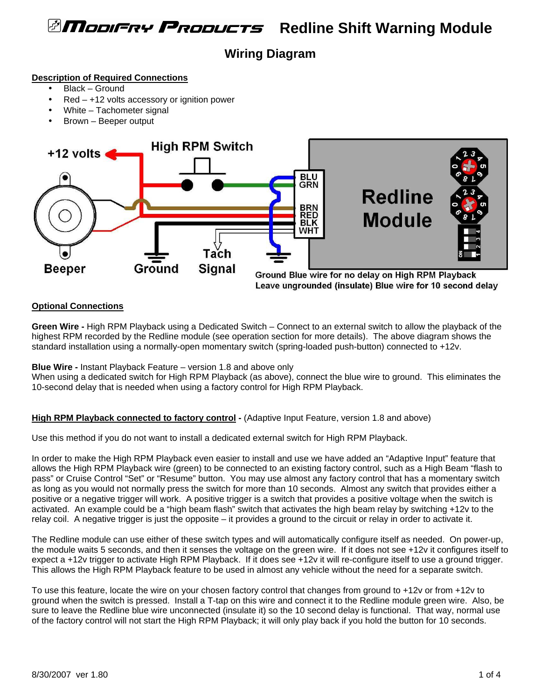# *<b>AModiFRY PRODUCTS* Redline Shift Warning Module

## **Wiring Diagram**

#### **Description of Required Connections**

- Black Ground
- $Red +12$  volts accessory or ignition power
- White Tachometer signal
- Brown Beeper output



Leave ungrounded (insulate) Blue wire for 10 second delay

## **Optional Connections**

**Green Wire -** High RPM Playback using a Dedicated Switch – Connect to an external switch to allow the playback of the highest RPM recorded by the Redline module (see operation section for more details). The above diagram shows the standard installation using a normally-open momentary switch (spring-loaded push-button) connected to +12v.

**Blue Wire -** Instant Playback Feature – version 1.8 and above only

When using a dedicated switch for High RPM Playback (as above), connect the blue wire to ground. This eliminates the 10-second delay that is needed when using a factory control for High RPM Playback.

## **High RPM Playback connected to factory control** - (Adaptive Input Feature, version 1.8 and above)

Use this method if you do not want to install a dedicated external switch for High RPM Playback.

In order to make the High RPM Playback even easier to install and use we have added an "Adaptive Input" feature that allows the High RPM Playback wire (green) to be connected to an existing factory control, such as a High Beam "flash to pass" or Cruise Control "Set" or "Resume" button. You may use almost any factory control that has a momentary switch as long as you would not normally press the switch for more than 10 seconds. Almost any switch that provides either a positive or a negative trigger will work. A positive trigger is a switch that provides a positive voltage when the switch is activated. An example could be a "high beam flash" switch that activates the high beam relay by switching +12v to the relay coil. A negative trigger is just the opposite – it provides a ground to the circuit or relay in order to activate it.

The Redline module can use either of these switch types and will automatically configure itself as needed. On power-up, the module waits 5 seconds, and then it senses the voltage on the green wire. If it does not see +12v it configures itself to expect a +12v trigger to activate High RPM Playback. If it does see +12v it will re-configure itself to use a ground trigger. This allows the High RPM Playback feature to be used in almost any vehicle without the need for a separate switch.

To use this feature, locate the wire on your chosen factory control that changes from ground to +12v or from +12v to ground when the switch is pressed. Install a T-tap on this wire and connect it to the Redline module green wire. Also, be sure to leave the Redline blue wire unconnected (insulate it) so the 10 second delay is functional. That way, normal use of the factory control will not start the High RPM Playback; it will only play back if you hold the button for 10 seconds.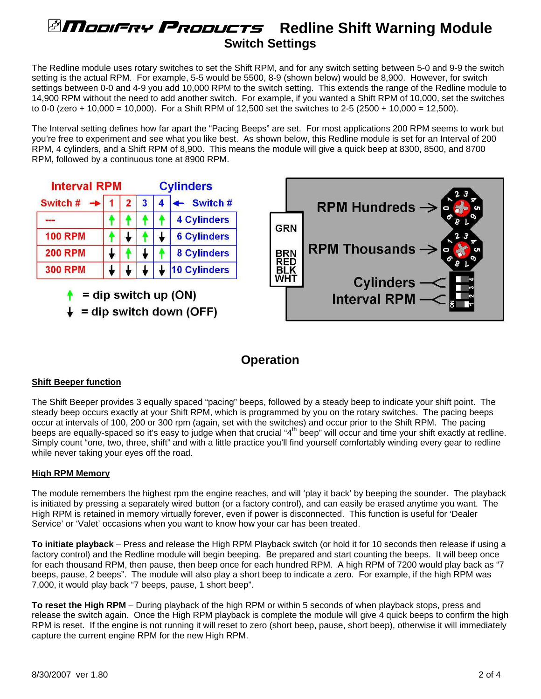# *<b>ATIODIFRY PRODUCTS* Redline Shift Warning Module **Switch Settings**

The Redline module uses rotary switches to set the Shift RPM, and for any switch setting between 5-0 and 9-9 the switch setting is the actual RPM. For example, 5-5 would be 5500, 8-9 (shown below) would be 8,900. However, for switch settings between 0-0 and 4-9 you add 10,000 RPM to the switch setting. This extends the range of the Redline module to 14,900 RPM without the need to add another switch. For example, if you wanted a Shift RPM of 10,000, set the switches to 0-0 (zero + 10,000 = 10,000). For a Shift RPM of 12,500 set the switches to 2-5 (2500 + 10,000 = 12,500).

The Interval setting defines how far apart the "Pacing Beeps" are set. For most applications 200 RPM seems to work but you're free to experiment and see what you like best. As shown below, this Redline module is set for an Interval of 200 RPM, 4 cylinders, and a Shift RPM of 8,900. This means the module will give a quick beep at 8300, 8500, and 8700 RPM, followed by a continuous tone at 8900 RPM.



## **Operation**

## **Shift Beeper function**

The Shift Beeper provides 3 equally spaced "pacing" beeps, followed by a steady beep to indicate your shift point. The steady beep occurs exactly at your Shift RPM, which is programmed by you on the rotary switches. The pacing beeps occur at intervals of 100, 200 or 300 rpm (again, set with the switches) and occur prior to the Shift RPM. The pacing beeps are equally-spaced so it's easy to judge when that crucial "4<sup>th</sup> beep" will occur and time your shift exactly at redline. Simply count "one, two, three, shift" and with a little practice you'll find yourself comfortably winding every gear to redline while never taking your eyes off the road.

## **High RPM Memory**

The module remembers the highest rpm the engine reaches, and will 'play it back' by beeping the sounder. The playback is initiated by pressing a separately wired button (or a factory control), and can easily be erased anytime you want. The High RPM is retained in memory virtually forever, even if power is disconnected. This function is useful for 'Dealer Service' or 'Valet' occasions when you want to know how your car has been treated.

**To initiate playback** – Press and release the High RPM Playback switch (or hold it for 10 seconds then release if using a factory control) and the Redline module will begin beeping. Be prepared and start counting the beeps. It will beep once for each thousand RPM, then pause, then beep once for each hundred RPM. A high RPM of 7200 would play back as "7 beeps, pause, 2 beeps". The module will also play a short beep to indicate a zero. For example, if the high RPM was 7,000, it would play back "7 beeps, pause, 1 short beep".

**To reset the High RPM** – During playback of the high RPM or within 5 seconds of when playback stops, press and release the switch again. Once the High RPM playback is complete the module will give 4 quick beeps to confirm the high RPM is reset. If the engine is not running it will reset to zero (short beep, pause, short beep), otherwise it will immediately capture the current engine RPM for the new High RPM.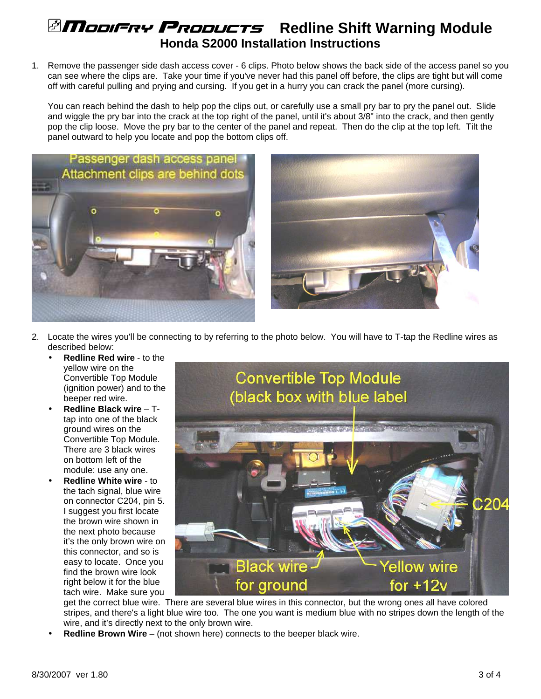# *<b>AMobiFre Probucts* Redline Shift Warning Module **Honda S2000 Installation Instructions**

1. Remove the passenger side dash access cover - 6 clips. Photo below shows the back side of the access panel so you can see where the clips are. Take your time if you've never had this panel off before, the clips are tight but will come off with careful pulling and prying and cursing. If you get in a hurry you can crack the panel (more cursing).

You can reach behind the dash to help pop the clips out, or carefully use a small pry bar to pry the panel out. Slide and wiggle the pry bar into the crack at the top right of the panel, until it's about 3/8" into the crack, and then gently pop the clip loose. Move the pry bar to the center of the panel and repeat. Then do the clip at the top left. Tilt the panel outward to help you locate and pop the bottom clips off.





- 2. Locate the wires you'll be connecting to by referring to the photo below. You will have to T-tap the Redline wires as described below:
	- **Redline Red wire** to the yellow wire on the Convertible Top Module (ignition power) and to the beeper red wire.
	- **Redline Black wire** Ttap into one of the black ground wires on the Convertible Top Module. There are 3 black wires on bottom left of the module: use any one.
	- **Redline White wire** to the tach signal, blue wire on connector C204, pin 5. I suggest you first locate the brown wire shown in the next photo because it's the only brown wire on this connector, and so is easy to locate. Once you find the brown wire look right below it for the blue tach wire. Make sure you



get the correct blue wire. There are several blue wires in this connector, but the wrong ones all have colored stripes, and there's a light blue wire too. The one you want is medium blue with no stripes down the length of the wire, and it's directly next to the only brown wire.

• **Redline Brown Wire** – (not shown here) connects to the beeper black wire.